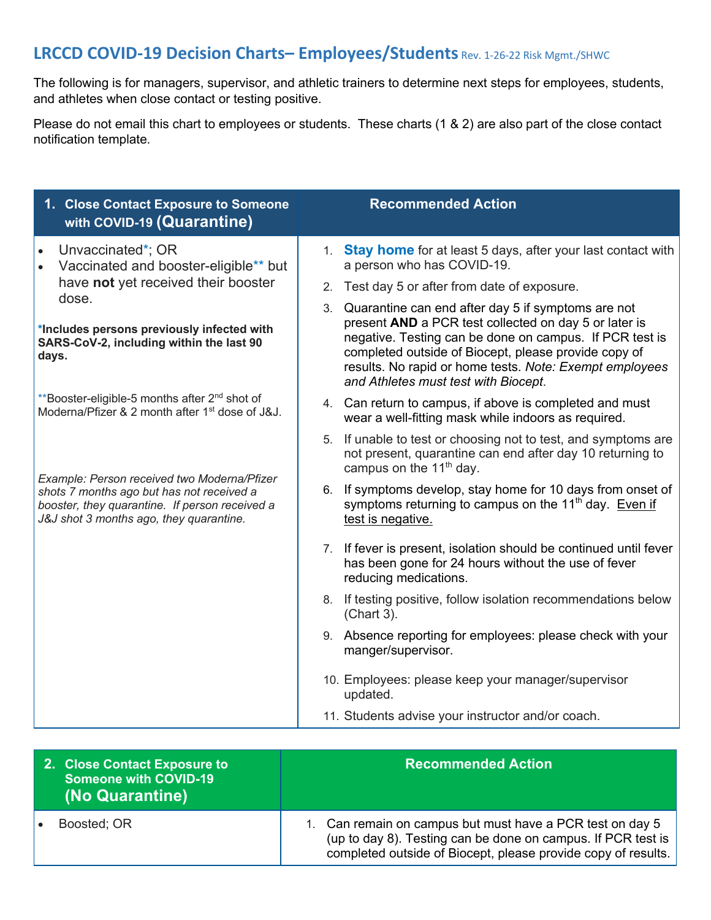# **LRCCD COVID-19 Decision Charts– Employees/Students** Rev. 1-26-22 Risk Mgmt./SHWC

The following is for managers, supervisor, and athletic trainers to determine next steps for employees, students, and athletes when close contact or testing positive.

Please do not email this chart to employees or students. These charts (1 & 2) are also part of the close contact notification template.

| 1. Close Contact Exposure to Someone<br>with COVID-19 (Quarantine)                                                                                                                    | <b>Recommended Action</b>                                                                                                                                                                                                                                                                                                               |
|---------------------------------------------------------------------------------------------------------------------------------------------------------------------------------------|-----------------------------------------------------------------------------------------------------------------------------------------------------------------------------------------------------------------------------------------------------------------------------------------------------------------------------------------|
| Unvaccinated*; OR<br>Vaccinated and booster-eligible** but                                                                                                                            | 1. Stay home for at least 5 days, after your last contact with<br>a person who has COVID-19.                                                                                                                                                                                                                                            |
| have not yet received their booster                                                                                                                                                   | Test day 5 or after from date of exposure.<br>2.                                                                                                                                                                                                                                                                                        |
| dose.<br>*Includes persons previously infected with<br>SARS-CoV-2, including within the last 90<br>days.                                                                              | Quarantine can end after day 5 if symptoms are not<br>3.<br>present AND a PCR test collected on day 5 or later is<br>negative. Testing can be done on campus. If PCR test is<br>completed outside of Biocept, please provide copy of<br>results. No rapid or home tests. Note: Exempt employees<br>and Athletes must test with Biocept. |
| **Booster-eligible-5 months after 2 <sup>nd</sup> shot of<br>Moderna/Pfizer & 2 month after 1 <sup>st</sup> dose of J&J.                                                              | 4. Can return to campus, if above is completed and must<br>wear a well-fitting mask while indoors as required.                                                                                                                                                                                                                          |
| Example: Person received two Moderna/Pfizer<br>shots 7 months ago but has not received a<br>booster, they quarantine. If person received a<br>J&J shot 3 months ago, they quarantine. | If unable to test or choosing not to test, and symptoms are<br>5.<br>not present, quarantine can end after day 10 returning to<br>campus on the 11 <sup>th</sup> day.                                                                                                                                                                   |
|                                                                                                                                                                                       | 6. If symptoms develop, stay home for 10 days from onset of<br>symptoms returning to campus on the 11 <sup>th</sup> day. Even if<br>test is negative.                                                                                                                                                                                   |
|                                                                                                                                                                                       | 7. If fever is present, isolation should be continued until fever<br>has been gone for 24 hours without the use of fever<br>reducing medications.                                                                                                                                                                                       |
|                                                                                                                                                                                       | 8. If testing positive, follow isolation recommendations below<br>(Chart 3).                                                                                                                                                                                                                                                            |
|                                                                                                                                                                                       | 9. Absence reporting for employees: please check with your<br>manger/supervisor.                                                                                                                                                                                                                                                        |
|                                                                                                                                                                                       | 10. Employees: please keep your manager/supervisor<br>updated.                                                                                                                                                                                                                                                                          |
|                                                                                                                                                                                       | 11. Students advise your instructor and/or coach.                                                                                                                                                                                                                                                                                       |

| 2. Close Contact Exposure to<br>Someone with COVID-19<br>(No Quarantine) | <b>Recommended Action</b>                                                                                                                                                                  |
|--------------------------------------------------------------------------|--------------------------------------------------------------------------------------------------------------------------------------------------------------------------------------------|
| Boosted; OR<br>$\bullet$                                                 | 1. Can remain on campus but must have a PCR test on day 5<br>(up to day 8). Testing can be done on campus. If PCR test is<br>completed outside of Biocept, please provide copy of results. |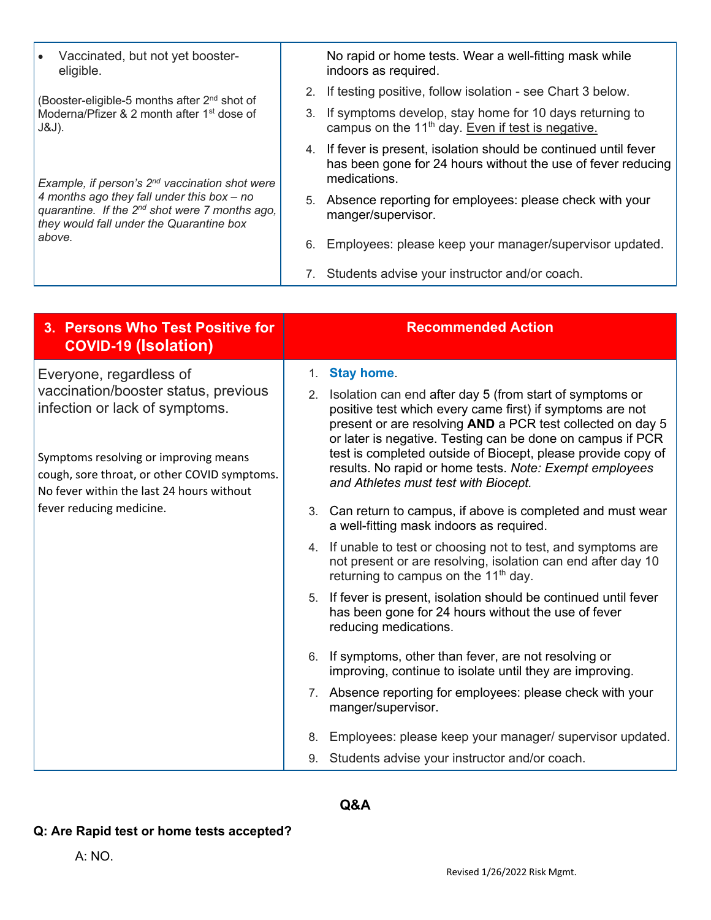| $\bullet$ | Vaccinated, but not yet booster- |  |
|-----------|----------------------------------|--|
|           | eligible.                        |  |

(Booster-eligible-5 months after 2nd shot of Moderna/Pfizer & 2 month after 1<sup>st</sup> dose of J&J).

*Example, if person's 2nd vaccination shot were 4 months ago they fall under this box – no quarantine. If the 2nd shot were 7 months ago, they would fall under the Quarantine box above.*

No rapid or home tests. Wear a well-fitting mask while indoors as required.

- 2. If testing positive, follow isolation see Chart 3 below.
- 3. If symptoms develop, stay home for 10 days returning to campus on the  $11<sup>th</sup>$  day. Even if test is negative.
- 4. If fever is present, isolation should be continued until fever has been gone for 24 hours without the use of fever reducing medications.
- 5. Absence reporting for employees: please check with your manger/supervisor.
- 6. Employees: please keep your manager/supervisor updated.
- 7. Students advise your instructor and/or coach.

| 3. Persons Who Test Positive for<br><b>COVID-19 (Isolation)</b>                                                                    |                                      | <b>Recommended Action</b>                                                                                                                                                             |
|------------------------------------------------------------------------------------------------------------------------------------|--------------------------------------|---------------------------------------------------------------------------------------------------------------------------------------------------------------------------------------|
| Everyone, regardless of<br>vaccination/booster status, previous                                                                    | 1.<br>2.                             | <b>Stay home.</b><br>Isolation can end after day 5 (from start of symptoms or                                                                                                         |
| infection or lack of symptoms.                                                                                                     |                                      | positive test which every came first) if symptoms are not<br>present or are resolving AND a PCR test collected on day 5<br>or later is negative. Testing can be done on campus if PCR |
| Symptoms resolving or improving means<br>cough, sore throat, or other COVID symptoms.<br>No fever within the last 24 hours without | and Athletes must test with Biocept. | test is completed outside of Biocept, please provide copy of<br>results. No rapid or home tests. Note: Exempt employees                                                               |
| fever reducing medicine.                                                                                                           |                                      | 3. Can return to campus, if above is completed and must wear<br>a well-fitting mask indoors as required.                                                                              |
|                                                                                                                                    |                                      | 4. If unable to test or choosing not to test, and symptoms are<br>not present or are resolving, isolation can end after day 10<br>returning to campus on the 11 <sup>th</sup> day.    |
|                                                                                                                                    |                                      | 5. If fever is present, isolation should be continued until fever<br>has been gone for 24 hours without the use of fever<br>reducing medications.                                     |
|                                                                                                                                    | 6.                                   | If symptoms, other than fever, are not resolving or<br>improving, continue to isolate until they are improving.                                                                       |
|                                                                                                                                    |                                      | 7. Absence reporting for employees: please check with your<br>manger/supervisor.                                                                                                      |
|                                                                                                                                    | 8.                                   | Employees: please keep your manager/ supervisor updated.                                                                                                                              |
|                                                                                                                                    |                                      | 9. Students advise your instructor and/or coach.                                                                                                                                      |

## **Q&A**

#### **Q: Are Rapid test or home tests accepted?**